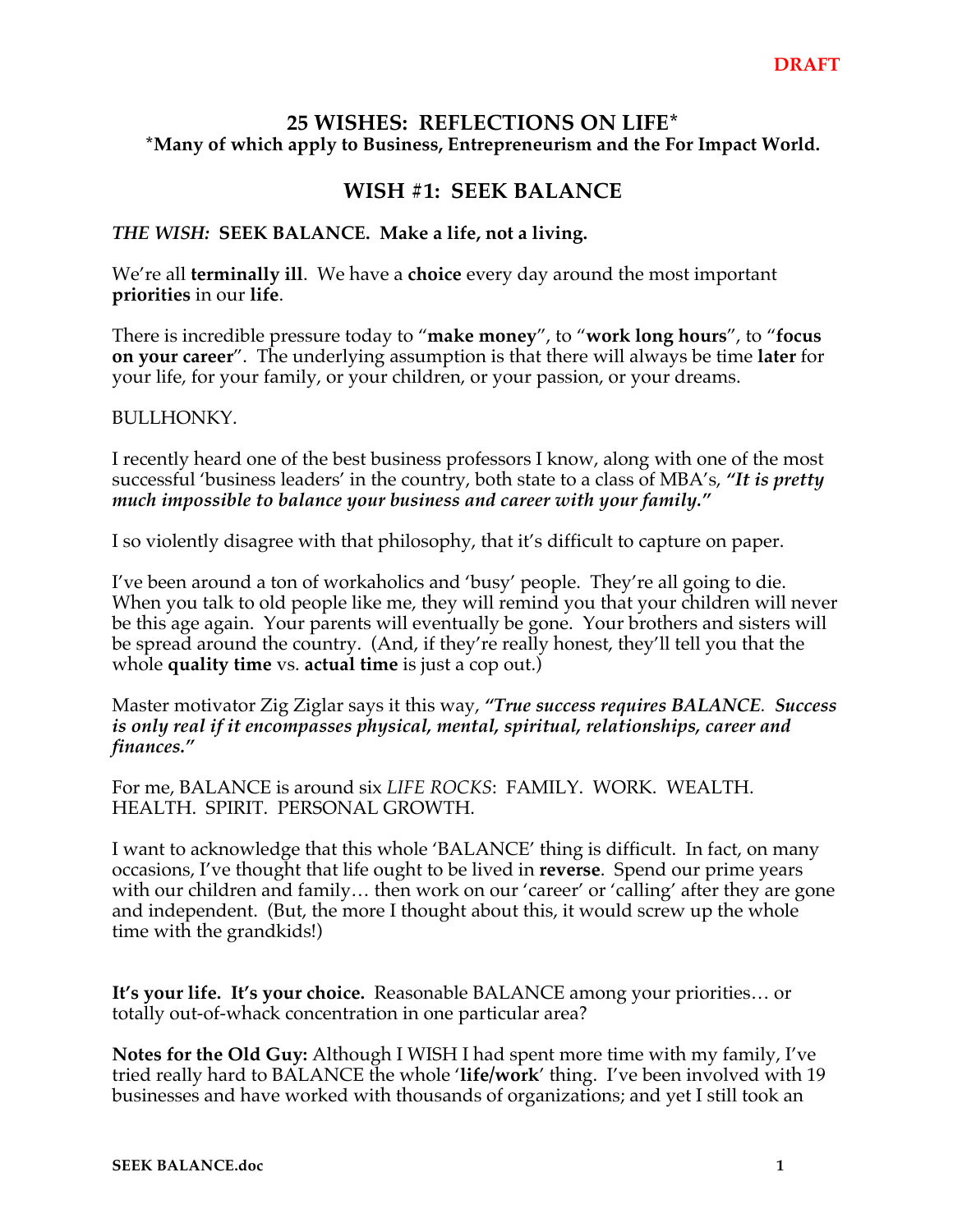## **25 WISHES: REFLECTIONS ON LIFE\* \*Many of which apply to Business, Entrepreneurism and the For Impact World.**

## **WISH #1: SEEK BALANCE**

## *THE WISH:* **SEEK BALANCE. Make a life, not a living.**

We're all **terminally ill**. We have a **choice** every day around the most important **priorities** in our **life**.

There is incredible pressure today to "**make money**", to "**work long hours**", to "**focus on your career**". The underlying assumption is that there will always be time **later** for your life, for your family, or your children, or your passion, or your dreams.

## BULLHONKY.

I recently heard one of the best business professors I know, along with one of the most successful 'business leaders' in the country, both state to a class of MBA's, *"It is pretty much impossible to balance your business and career with your family."*

I so violently disagree with that philosophy, that it's difficult to capture on paper.

I've been around a ton of workaholics and 'busy' people. They're all going to die. When you talk to old people like me, they will remind you that your children will never be this age again. Your parents will eventually be gone. Your brothers and sisters will be spread around the country. (And, if they're really honest, they'll tell you that the whole **quality time** vs. **actual time** is just a cop out.)

Master motivator Zig Ziglar says it this way, *"True success requires BALANCE. Success is only real if it encompasses physical, mental, spiritual, relationships, career and finances."*

For me, BALANCE is around six *LIFE ROCKS*: FAMILY. WORK. WEALTH. HEALTH. SPIRIT. PERSONAL GROWTH.

I want to acknowledge that this whole 'BALANCE' thing is difficult. In fact, on many occasions, I've thought that life ought to be lived in **reverse**. Spend our prime years with our children and family… then work on our 'career' or 'calling' after they are gone and independent. (But, the more I thought about this, it would screw up the whole time with the grandkids!)

**It's your life. It's your choice.** Reasonable BALANCE among your priorities… or totally out-of-whack concentration in one particular area?

**Notes for the Old Guy:** Although I WISH I had spent more time with my family, I've tried really hard to BALANCE the whole '**life/work**' thing. I've been involved with 19 businesses and have worked with thousands of organizations; and yet I still took an